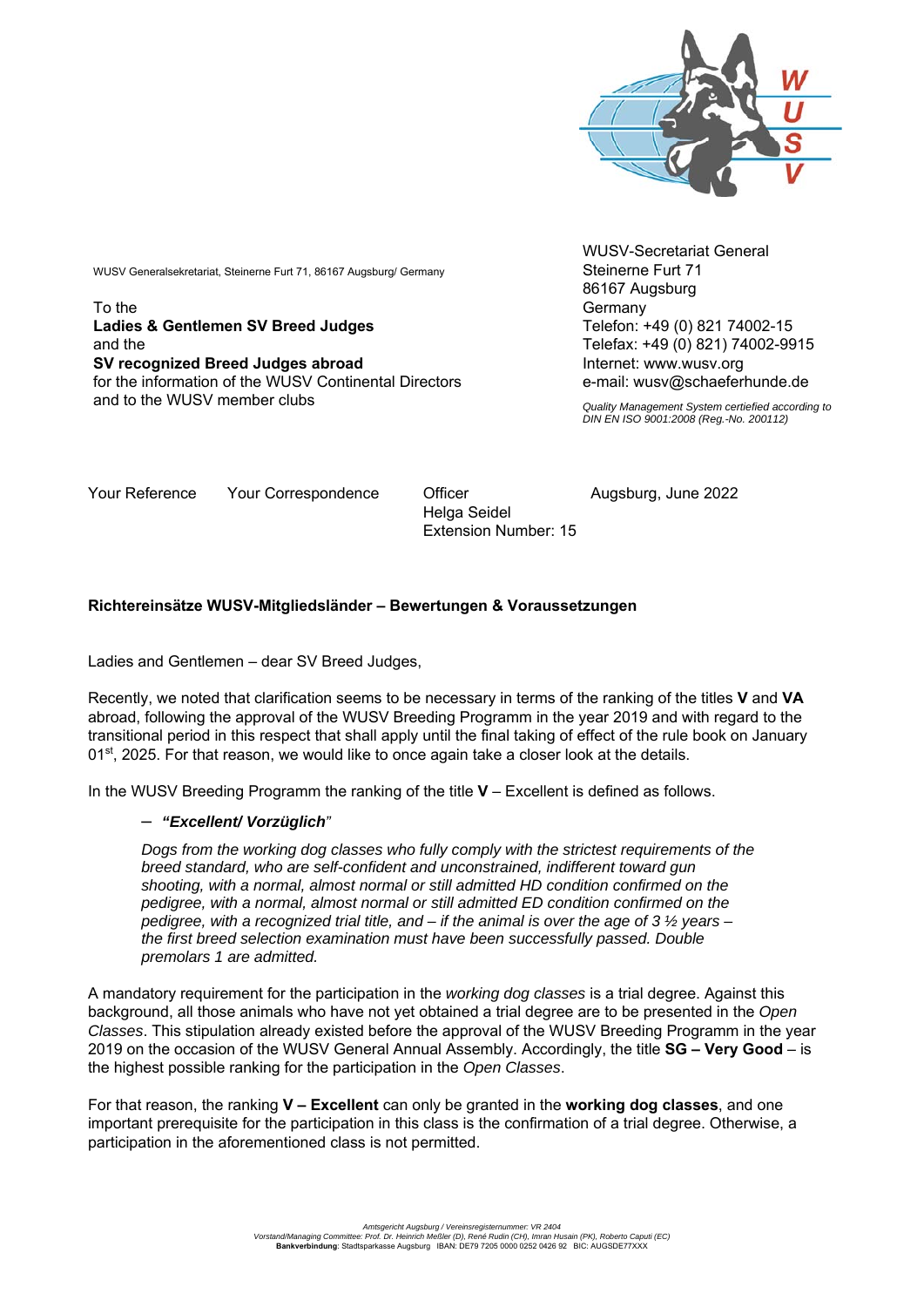

WUSV Generalsekretariat, Steinerne Furt 71, 86167 Augsburg/ Germany

To the **Ladies & Gentlemen SV Breed Judges**  and the **SV recognized Breed Judges abroad**  for the information of the WUSV Continental Directors and to the WUSV member clubs

WUSV-Secretariat General Steinerne Furt 71 86167 Augsburg **Germany** Telefon: +49 (0) 821 74002-15 Telefax: +49 (0) 821) 74002-9915 Internet: www.wusv.org e-mail: wusv@schaeferhunde.de

*Quality Management System certiefied according to DIN EN ISO 9001:2008 (Reg.-No. 200112)*

Your Reference Your Correspondence Officer and Augsburg, June 2022

 Helga Seidel Extension Number: 15

## **Richtereinsätze WUSV-Mitgliedsländer – Bewertungen & Voraussetzungen**

Ladies and Gentlemen – dear SV Breed Judges,

Recently, we noted that clarification seems to be necessary in terms of the ranking of the titles **V** and **VA** abroad, following the approval of the WUSV Breeding Programm in the year 2019 and with regard to the transitional period in this respect that shall apply until the final taking of effect of the rule book on January 01<sup>st</sup>, 2025. For that reason, we would like to once again take a closer look at the details.

In the WUSV Breeding Programm the ranking of the title **V** – Excellent is defined as follows.

## – *"Excellent/ Vorzüglich"*

*Dogs from the working dog classes who fully comply with the strictest requirements of the breed standard, who are self-confident and unconstrained, indifferent toward gun shooting, with a normal, almost normal or still admitted HD condition confirmed on the pedigree, with a normal, almost normal or still admitted ED condition confirmed on the pedigree, with a recognized trial title, and – if the animal is over the age of 3 ½ years – the first breed selection examination must have been successfully passed. Double premolars 1 are admitted.* 

A mandatory requirement for the participation in the *working dog classes* is a trial degree. Against this background, all those animals who have not yet obtained a trial degree are to be presented in the *Open Classes*. This stipulation already existed before the approval of the WUSV Breeding Programm in the year 2019 on the occasion of the WUSV General Annual Assembly. Accordingly, the title **SG – Very Good** – is the highest possible ranking for the participation in the *Open Classes*.

For that reason, the ranking **V – Excellent** can only be granted in the **working dog classes**, and one important prerequisite for the participation in this class is the confirmation of a trial degree. Otherwise, a participation in the aforementioned class is not permitted.